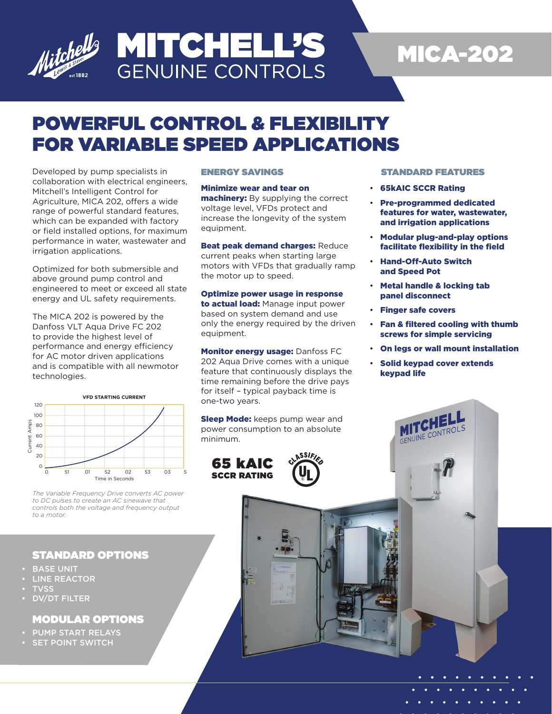

## **MITCHELL'S GENUINE CONTROLS**

# MICA-202

## POWERFUL CONTROL & FLEXIBILITY FOR VARIABLE SPEED APPLICATIONS

Developed by pump specialists in collaboration with electrical engineers, Mitchell's Intelligent Control for Agriculture, MICA 202, offers a wide range of powerful standard features, which can be expanded with factory or field installed options, for maximum performance in water, wastewater and irrigation applications.

Optimized for both submersible and above ground pump control and engineered to meet or exceed all state energy and UL safety requirements.

The MICA 202 is powered by the Danfoss VLT Aqua Drive FC 202 to provide the highest level of performance and energy efficiency for AC motor driven applications and is compatible with all newmotor technologies.



*The Variable Frequency Drive converts AC power to DC pulses to create an AC sinewave that controls both the voltage and frequency output to a motor.*

#### STANDARD OPTIONS

- **BASE UNIT**
- **LINE REACTOR**
- **TVSS**
- DV/DT FILTER

#### MODULAR OPTIONS

- PUMP START RELAYS
- SET POINT SWITCH

#### ENERGY SAVINGS

#### Minimize wear and tear on

machinery: By supplying the correct voltage level, VFDs protect and increase the longevity of the system equipment.

**Beat peak demand charges: Reduce** current peaks when starting large motors with VFDs that gradually ramp the motor up to speed.

Optimize power usage in response to actual load: Manage input power based on system demand and use only the energy required by the driven equipment.

Monitor energy usage: Danfoss FC 202 Aqua Drive comes with a unique feature that continuously displays the time remaining before the drive pays for itself – typical payback time is one-two years.

**Sleep Mode:** keeps pump wear and power consumption to an absolute minimum.

65 kAIC SCCR RATING

#### STANDARD FEATURES

- 65kAIC SCCR Rating
- Pre-programmed dedicated features for water, wastewater, and irrigation applications
- Modular plug-and-play options facilitate flexibility in the field
- Hand-Off-Auto Switch and Speed Pot
- Metal handle & locking tab panel disconnect
- Finger safe covers
- Fan & filtered cooling with thumb screws for simple servicing
- On legs or wall mount installation
- Solid keypad cover extends keypad life

GENUINE CONT